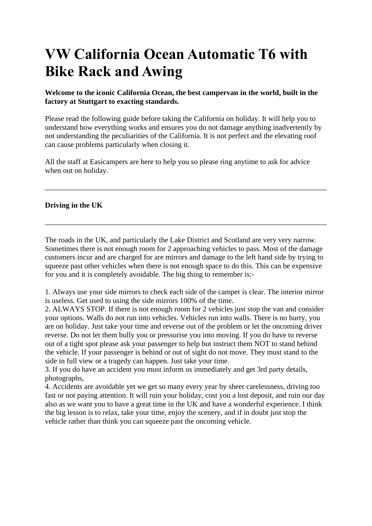# **VW California Ocean Automatic T6 with Bike Rack and Awing**

**Welcome to the iconic California Ocean, the best campervan in the world, built in the factory at Stuttgart to exacting standards.** 

Please read the following guide before taking the California on holiday. It will help you to understand how everything works and ensures you do not damage anything inadvertently by not understanding the peculiarities of the California. It is not perfect and the elevating roof can cause problems particularly when closing it.

All the staff at Easicampers are here to help you so please ring anytime to ask for advice when out on holiday.

#### **Driving in the UK**

The roads in the UK, and particularly the Lake District and Scotland are very very narrow. Sometimes there is not enough room for 2 approaching vehicles to pass. Most of the damage customers incur and are charged for are mirrors and damage to the left hand side by trying to squeeze past other vehicles when there is not enough space to do this. This can be expensive for you and it is completely avoidable. The big thing to remember is:-

1. Always use your side mirrors to check each side of the camper is clear. The interior mirror is useless. Get used to using the side mirrors 100% of the time.

2. ALWAYS STOP. If there is not enough room for 2 vehicles just stop the van and consider your options. Walls do not run into vehicles. Vehicles run into walls. There is no hurry, you are on holiday. Just take your time and reverse out of the problem or let the oncoming driver reverse. Do not let them bully you or pressurise you into moving. If you do have to reverse out of a tight spot please ask your passenger to help but instruct them NOT to stand behind the vehicle. If your passenger is behind or out of sight do not move. They must stand to the side in full view or a tragedy can happen. Just take your time.

3. If you do have an accident you must inform us immediately and get 3rd party details, photographs,

4. Accidents are avoidable yet we get so many every year by sheer carelessness, driving too fast or not paying attention. It will ruin your holiday, cost you a lost deposit, and ruin our day also as we want you to have a great time in the UK and have a wonderful experience. I think the big lesson is to relax, take your time, enjoy the scenery, and if in doubt just stop the vehicle rather than think you can squeeze past the oncoming vehicle.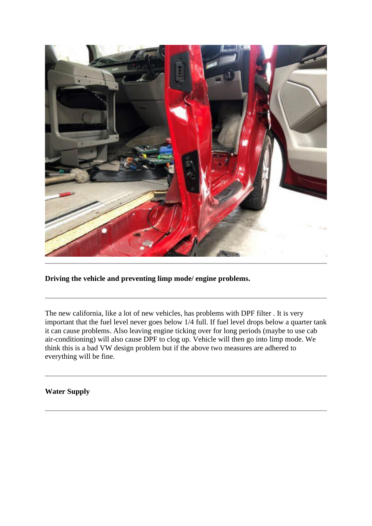

**Driving the vehicle and preventing limp mode/ engine problems.**

The new california, like a lot of new vehicles, has problems with DPF filter . It is very important that the fuel level never goes below 1/4 full. If fuel level drops below a quarter tank it can cause problems. Also leaving engine ticking over for long periods (maybe to use cab air-conditioning) will also cause DPF to clog up. Vehicle will then go into limp mode. We think this is a bad VW design problem but if the above two measures are adhered to everything will be fine.

**Water Supply**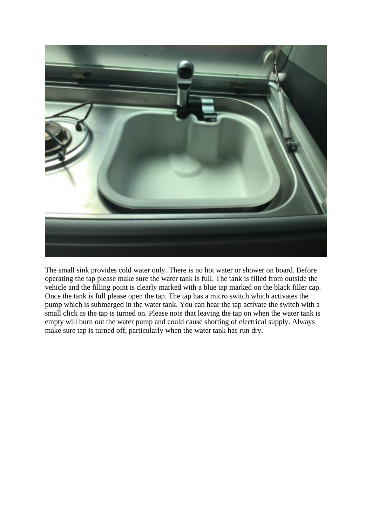

The small sink provides cold water only. There is no hot water or shower on board. Before operating the tap please make sure the water tank is full. The tank is filled from outside the vehicle and the filling point is clearly marked with a blue tap marked on the black filler cap. Once the tank is full please open the tap. The tap has a micro switch which activates the pump which is submerged in the water tank. You can hear the tap activate the switch with a small click as the tap is turned on. Please note that leaving the tap on when the water tank is empty will burn out the water pump and could cause shorting of electrical supply. Always make sure tap is turned off, particularly when the water tank has run dry.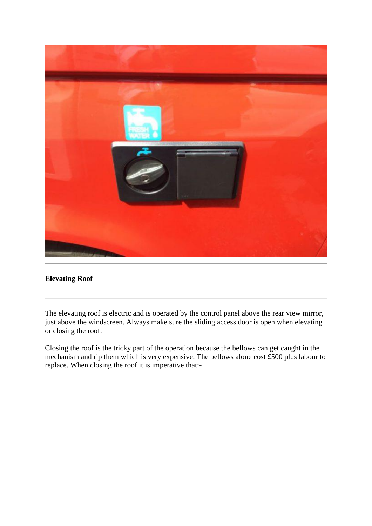

### **Elevating Roof**

The elevating roof is electric and is operated by the control panel above the rear view mirror, just above the windscreen. Always make sure the sliding access door is open when elevating or closing the roof.

Closing the roof is the tricky part of the operation because the bellows can get caught in the mechanism and rip them which is very expensive. The bellows alone cost £500 plus labour to replace. When closing the roof it is imperative that:-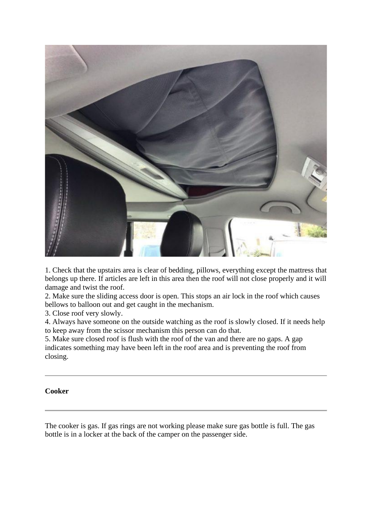

1. Check that the upstairs area is clear of bedding, pillows, everything except the mattress that belongs up there. If articles are left in this area then the roof will not close properly and it will damage and twist the roof.

2. Make sure the sliding access door is open. This stops an air lock in the roof which causes bellows to balloon out and get caught in the mechanism.

3. Close roof very slowly.

4. Always have someone on the outside watching as the roof is slowly closed. If it needs help to keep away from the scissor mechanism this person can do that.

5. Make sure closed roof is flush with the roof of the van and there are no gaps. A gap indicates something may have been left in the roof area and is preventing the roof from closing.

#### **Cooker**

The cooker is gas. If gas rings are not working please make sure gas bottle is full. The gas bottle is in a locker at the back of the camper on the passenger side.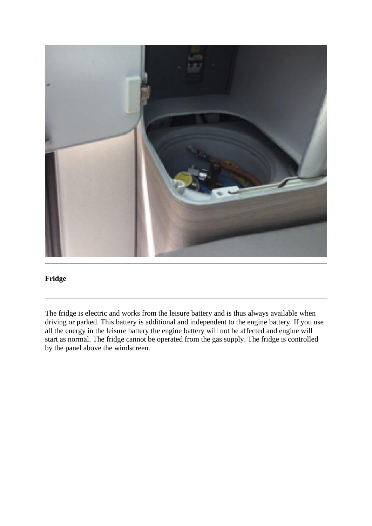

## **Fridge**

The fridge is electric and works from the leisure battery and is thus always available when driving or parked. This battery is additional and independent to the engine battery. If you use all the energy in the leisure battery the engine battery will not be affected and engine will start as normal. The fridge cannot be operated from the gas supply. The fridge is controlled by the panel above the windscreen.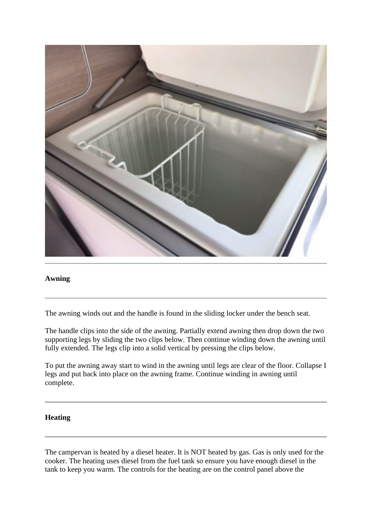

#### **Awning**

The awning winds out and the handle is found in the sliding locker under the bench seat.

The handle clips into the side of the awning. Partially extend awning then drop down the two supporting legs by sliding the two clips below. Then continue winding down the awning until fully extended. The legs clip into a solid vertical by pressing the clips below.

To put the awning away start to wind in the awning until legs are clear of the floor. Collapse I legs and put back into place on the awning frame. Continue winding in awning until complete.

#### **Heating**

The campervan is heated by a diesel heater. It is NOT heated by gas. Gas is only used for the cooker. The heating uses diesel from the fuel tank so ensure you have enough diesel in the tank to keep you warm. The controls for the heating are on the control panel above the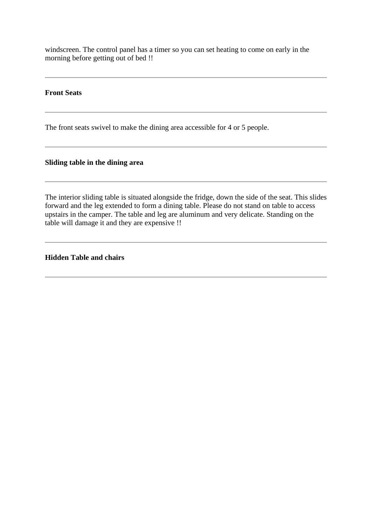windscreen. The control panel has a timer so you can set heating to come on early in the morning before getting out of bed !!

#### **Front Seats**

The front seats swivel to make the dining area accessible for 4 or 5 people.

#### **Sliding table in the dining area**

The interior sliding table is situated alongside the fridge, down the side of the seat. This slides forward and the leg extended to form a dining table. Please do not stand on table to access upstairs in the camper. The table and leg are aluminum and very delicate. Standing on the table will damage it and they are expensive !!

**Hidden Table and chairs**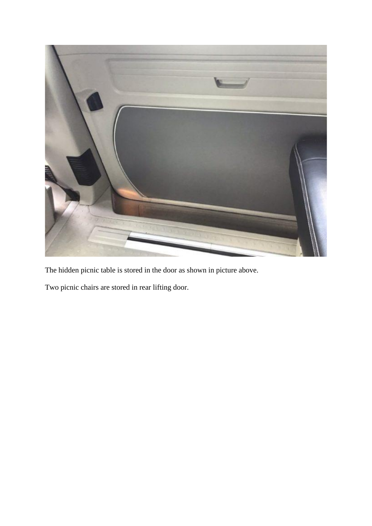

The hidden picnic table is stored in the door as shown in picture above.

Two picnic chairs are stored in rear lifting door.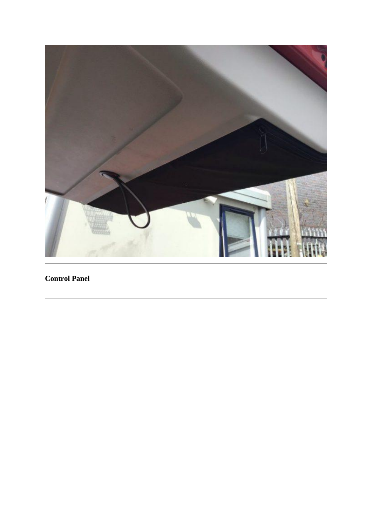

**Control Panel**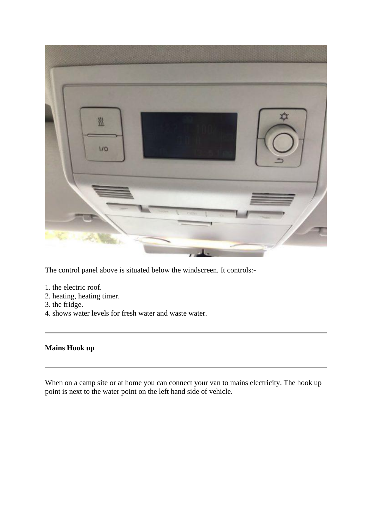

The control panel above is situated below the windscreen. It controls:-

- 1. the electric roof.
- 2. heating, heating timer.
- 3. the fridge.
- 4. shows water levels for fresh water and waste water.

## **Mains Hook up**

When on a camp site or at home you can connect your van to mains electricity. The hook up point is next to the water point on the left hand side of vehicle.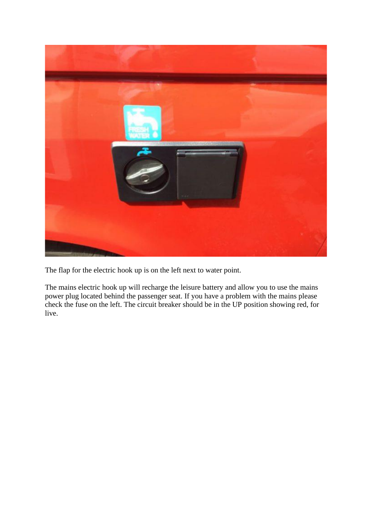

The flap for the electric hook up is on the left next to water point.

The mains electric hook up will recharge the leisure battery and allow you to use the mains power plug located behind the passenger seat. If you have a problem with the mains please check the fuse on the left. The circuit breaker should be in the UP position showing red, for live.